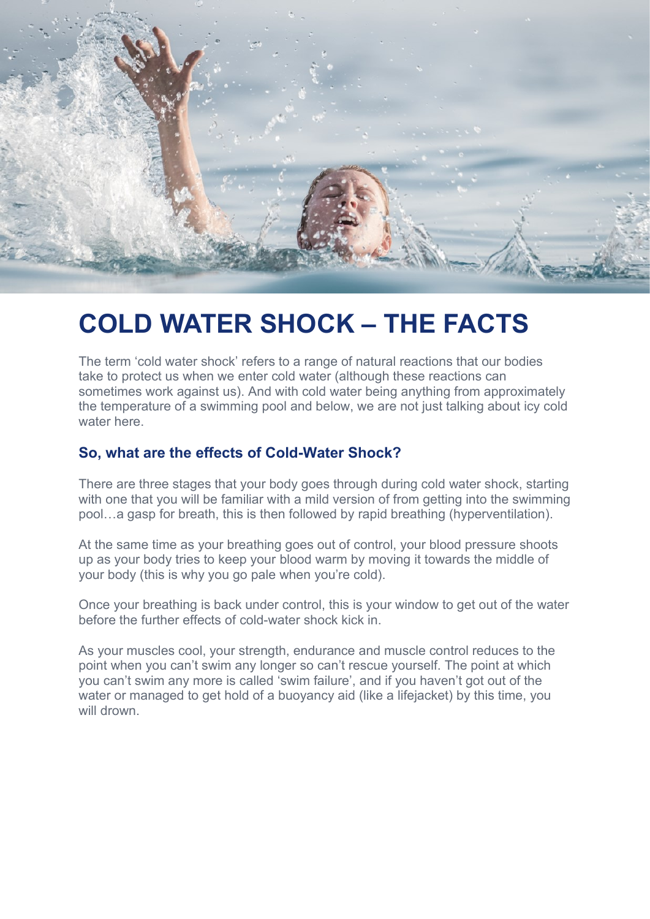

# **COLD WATER SHOCK – THE FACTS**

The term 'cold water shock' refers to a range of natural reactions that our bodies take to protect us when we enter cold water (although these reactions can sometimes work against us). And with cold water being anything from approximately the temperature of a swimming pool and below, we are not just talking about icy cold water here.

#### **So, what are the effects of Cold-Water Shock?**

There are three stages that your body goes through during cold water shock, starting with one that you will be familiar with a mild version of from getting into the swimming pool…a gasp for breath, this is then followed by rapid breathing (hyperventilation).

At the same time as your breathing goes out of control, your blood pressure shoots up as your body tries to keep your blood warm by moving it towards the middle of your body (this is why you go pale when you're cold).

Once your breathing is back under control, this is your window to get out of the water before the further effects of cold-water shock kick in.

As your muscles cool, your strength, endurance and muscle control reduces to the point when you can't swim any longer so can't rescue yourself. The point at which you can't swim any more is called 'swim failure', and if you haven't got out of the water or managed to get hold of a buoyancy aid (like a lifejacket) by this time, you will drown.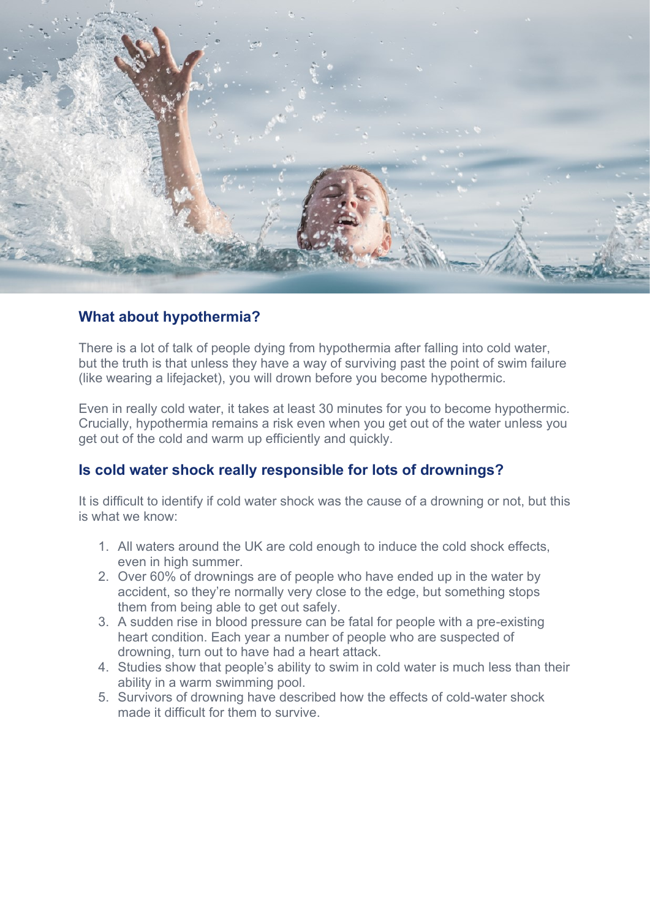

## **What about hypothermia?**

There is a lot of talk of people dying from hypothermia after falling into cold water, but the truth is that unless they have a way of surviving past the point of swim failure (like wearing a lifejacket), you will drown before you become hypothermic.

Even in really cold water, it takes at least 30 minutes for you to become hypothermic. Crucially, hypothermia remains a risk even when you get out of the water unless you get out of the cold and warm up efficiently and quickly.

## **Is cold water shock really responsible for lots of drownings?**

It is difficult to identify if cold water shock was the cause of a drowning or not, but this is what we know:

- 1. All waters around the UK are cold enough to induce the cold shock effects, even in high summer.
- 2. Over 60% of drownings are of people who have ended up in the water by accident, so they're normally very close to the edge, but something stops them from being able to get out safely.
- 3. A sudden rise in blood pressure can be fatal for people with a pre-existing heart condition. Each year a number of people who are suspected of drowning, turn out to have had a heart attack.
- 4. Studies show that people's ability to swim in cold water is much less than their ability in a warm swimming pool.
- 5. Survivors of drowning have described how the effects of cold-water shock made it difficult for them to survive.